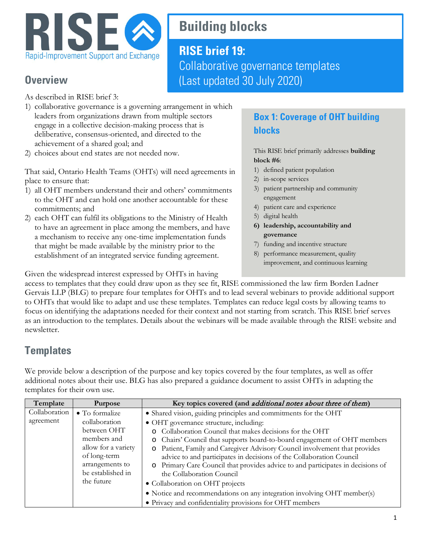

# **Building blocks**

## **RISE brief 19:** Collaborative governance templates (Last updated 30 July 2020)

### **Overview**

As described in RISE brief 3:

- 1) collaborative governance is a governing arrangement in which leaders from organizations drawn from multiple sectors engage in a collective decision-making process that is deliberative, consensus-oriented, and directed to the achievement of a shared goal; and
- 2) choices about end states are not needed now.

That said, Ontario Health Teams (OHTs) will need agreements in place to ensure that:

- 1) all OHT members understand their and others' commitments to the OHT and can hold one another accountable for these commitments; and
- 2) each OHT can fulfil its obligations to the Ministry of Health to have an agreement in place among the members, and have a mechanism to receive any one-time implementation funds that might be made available by the ministry prior to the establishment of an integrated service funding agreement.

#### **Box 1: Coverage of OHT building blocks**

This RISE brief primarily addresses **building block #6**:

- 1) defined patient population
- 2) in-scope services
- 3) patient partnership and community engagement
- 4) patient care and experience
- 5) digital health
- **6) leadership, accountability and governance**
- 7) funding and incentive structure
- 8) performance measurement, quality improvement, and continuous learning

Given the widespread interest expressed by OHTs in having

access to templates that they could draw upon as they see fit, RISE commissioned the law firm Borden Ladner Gervais LLP (BLG) to prepare four templates for OHTs and to lead several webinars to provide additional support to OHTs that would like to adapt and use these templates. Templates can reduce legal costs by allowing teams to focus on identifying the adaptations needed for their context and not starting from scratch. This RISE brief serves as an introduction to the templates. Details about the webinars will be made available through the RISE website and newsletter.

## **Templates**

We provide below a description of the purpose and key topics covered by the four templates, as well as offer additional notes about their use. BLG has also prepared a guidance document to assist OHTs in adapting the templates for their own use.

| Template      | <b>Purpose</b>      | Key topics covered (and <i>additional notes about three of them</i> )               |
|---------------|---------------------|-------------------------------------------------------------------------------------|
| Collaboration | • To formalize      | · Shared vision, guiding principles and commitments for the OHT                     |
| agreement     | collaboration       | • OHT governance structure, including:                                              |
|               | between OHT         | Collaboration Council that makes decisions for the OHT                              |
|               | members and         | Chairs' Council that supports board-to-board engagement of OHT members<br>$\circ$   |
|               | allow for a variety | Patient, Family and Caregiver Advisory Council involvement that provides<br>$\circ$ |
|               | of long-term        | advice to and participates in decisions of the Collaboration Council                |
|               | arrangements to     | o Primary Care Council that provides advice to and participates in decisions of     |
|               | be established in   | the Collaboration Council                                                           |
|               | the future          | • Collaboration on OHT projects                                                     |
|               |                     | • Notice and recommendations on any integration involving OHT member(s)             |
|               |                     | • Privacy and confidentiality provisions for OHT members                            |